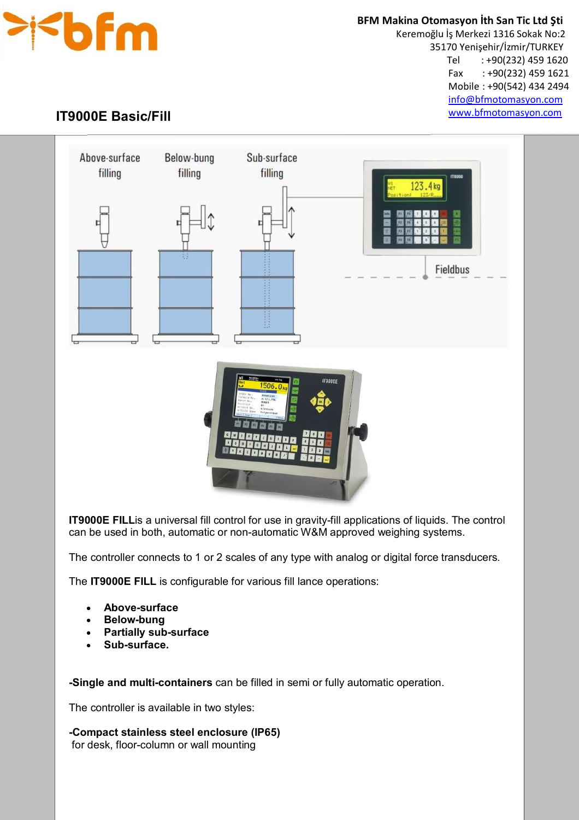

 **BFM Makina Otomasyon İth San Tic Ltd Şti**

 Keremoğlu İş Merkezi 1316 Sokak No:2 35170 Yenişehir/İzmir/TURKEY Tel : +90(232) 459 1620 Fax : +90(232) 459 1621 Mobile : +90(542) 434 2494 info@bfmotomasyon.com www.bfmotomasyon.com

## Ĩ **IT9000E Basic/Fill**



**IT9000E FILL**is a universal fill control for use in gravity-fill applications of liquids. The control can be used in both, automatic or non-automatic W&M approved weighing systems.

The controller connects to 1 or 2 scales of any type with analog or digital force transducers.

The **IT9000E FILL** is configurable for various fill lance operations:

- **Above-surface**
- **Below-bung**
- **Partially sub-surface**
- **Sub-surface.**

**-Single and multi-containers** can be filled in semi or fully automatic operation.

The controller is available in two styles:

**-Compact stainless steel enclosure (IP65)** for desk, floor-column or wall mounting